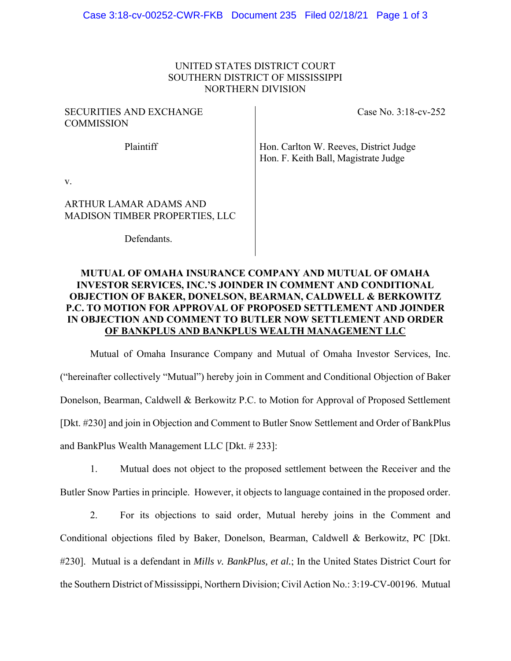## UNITED STATES DISTRICT COURT SOUTHERN DISTRICT OF MISSISSIPPI NORTHERN DIVISION

## SECURITIES AND EXCHANGE **COMMISSION**

Case No. 3:18-cv-252

Plaintiff Hon. Carlton W. Reeves, District Judge Hon. F. Keith Ball, Magistrate Judge

v.

# ARTHUR LAMAR ADAMS AND MADISON TIMBER PROPERTIES, LLC

Defendants.

# **MUTUAL OF OMAHA INSURANCE COMPANY AND MUTUAL OF OMAHA INVESTOR SERVICES, INC.'S JOINDER IN COMMENT AND CONDITIONAL OBJECTION OF BAKER, DONELSON, BEARMAN, CALDWELL & BERKOWITZ P.C. TO MOTION FOR APPROVAL OF PROPOSED SETTLEMENT AND JOINDER IN OBJECTION AND COMMENT TO BUTLER NOW SETTLEMENT AND ORDER OF BANKPLUS AND BANKPLUS WEALTH MANAGEMENT LLC**

Mutual of Omaha Insurance Company and Mutual of Omaha Investor Services, Inc. ("hereinafter collectively "Mutual") hereby join in Comment and Conditional Objection of Baker Donelson, Bearman, Caldwell & Berkowitz P.C. to Motion for Approval of Proposed Settlement [Dkt. #230] and join in Objection and Comment to Butler Snow Settlement and Order of BankPlus and BankPlus Wealth Management LLC [Dkt. # 233]:

1. Mutual does not object to the proposed settlement between the Receiver and the Butler Snow Parties in principle. However, it objects to language contained in the proposed order.

2. For its objections to said order, Mutual hereby joins in the Comment and Conditional objections filed by Baker, Donelson, Bearman, Caldwell & Berkowitz, PC [Dkt. #230]. Mutual is a defendant in *Mills v. BankPlus, et al.*; In the United States District Court for the Southern District of Mississippi, Northern Division; Civil Action No.: 3:19-CV-00196. Mutual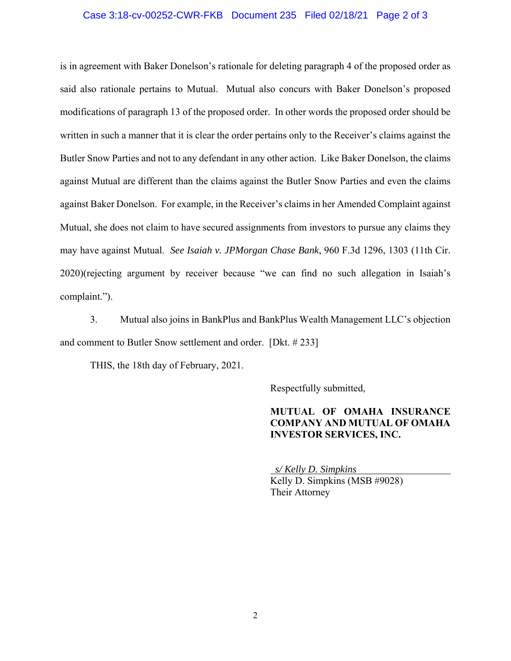#### Case 3:18-cv-00252-CWR-FKB Document 235 Filed 02/18/21 Page 2 of 3

is in agreement with Baker Donelson's rationale for deleting paragraph 4 of the proposed order as said also rationale pertains to Mutual. Mutual also concurs with Baker Donelson's proposed modifications of paragraph 13 of the proposed order. In other words the proposed order should be written in such a manner that it is clear the order pertains only to the Receiver's claims against the Butler Snow Parties and not to any defendant in any other action. Like Baker Donelson, the claims against Mutual are different than the claims against the Butler Snow Parties and even the claims against Baker Donelson. For example, in the Receiver's claims in her Amended Complaint against Mutual, she does not claim to have secured assignments from investors to pursue any claims they may have against Mutual. *See Isaiah v. JPMorgan Chase Bank*, 960 F.3d 1296, 1303 (11th Cir. 2020)(rejecting argument by receiver because "we can find no such allegation in Isaiah's complaint.").

3. Mutual also joins in BankPlus and BankPlus Wealth Management LLC's objection and comment to Butler Snow settlement and order. [Dkt. # 233]

THIS, the 18th day of February, 2021.

Respectfully submitted,

## **MUTUAL OF OMAHA INSURANCE COMPANY AND MUTUAL OF OMAHA INVESTOR SERVICES, INC.**

 *s/ Kelly D. Simpkins*  Kelly D. Simpkins (MSB #9028) Their Attorney